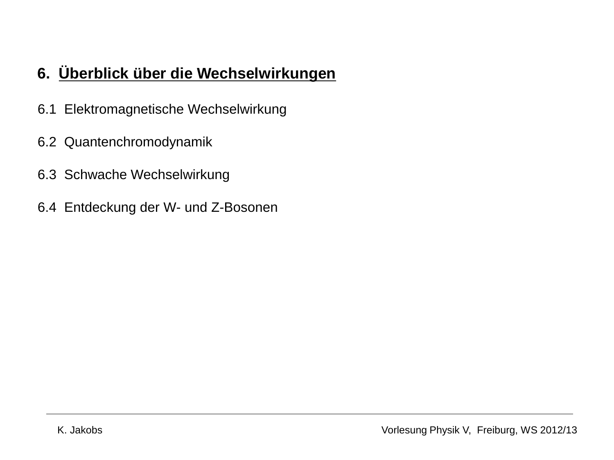### **6. Überblick über die Wechselwirkungen**

- 6.1 Elektromagnetische Wechselwirkung
- 6.2 Quantenchromodynamik
- 6.3 Schwache Wechselwirkung
- 6.4 Entdeckung der W- und Z-Bosonen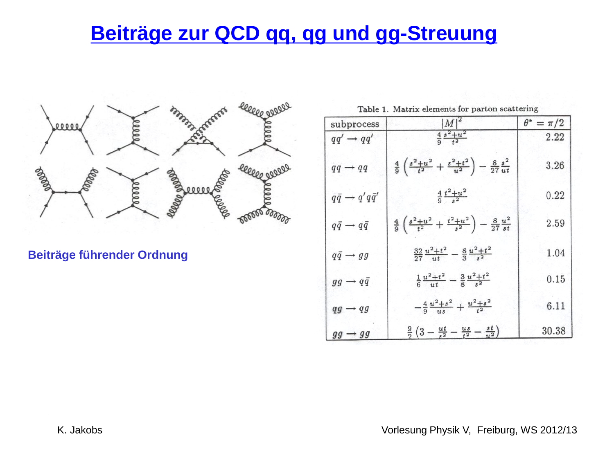## **Beiträge zur QCD qq, qg und gg-Streuung**



**Beiträge führender Ordnung**

Table 1. Matrix elements for parton scattering

| subprocess                         | $ M ^2$                                                                                       | $\theta^* = \pi/2$ |
|------------------------------------|-----------------------------------------------------------------------------------------------|--------------------|
| $qq' \rightarrow qq'$              | $\frac{4}{9} \frac{s^2+u^2}{t^2}$                                                             | 2.22               |
| $qq \rightarrow qq$                | $rac{4}{9}$ $\left(\frac{s^2+u^2}{t^2}+\frac{s^2+t^2}{u^2}\right)-\frac{8}{27}\frac{s^2}{ut}$ | 3.26               |
| $q\bar{q} \rightarrow q'q\bar{q}'$ | $rac{4}{9} \frac{t^2+u^2}{2}$                                                                 | 0.22               |
| $q\bar{q} \rightarrow q\bar{q}$    | $rac{4}{9}$ $\left(\frac{s^2+u^2}{t^2}+\frac{t^2+u^2}{s^2}\right)-\frac{8}{27}\frac{u^2}{st}$ | 2.59               |
| $q\bar{q} \rightarrow gg$          | $\frac{32}{27} \frac{u^2+t^2}{ut} - \frac{8}{3} \frac{u^2+t^2}{s^2}$                          | 1.04               |
| $gg \rightarrow q\bar{q}$          | $\frac{1}{6} \frac{u^2+t^2}{u^2} - \frac{3}{8} \frac{u^2+t^2}{s^2}$                           | 0.15               |
| $qg \rightarrow qg$                | $-\frac{4}{9}\frac{u^2+s^2}{us}+\frac{u^2+s^2}{t^2}$                                          | 6.11               |
| $gg \rightarrow gg$                | $\frac{9}{2}\left(3-\frac{ut}{t^2}-\frac{us}{t^2}-\frac{st}{u^2}\right)$                      | 30.38              |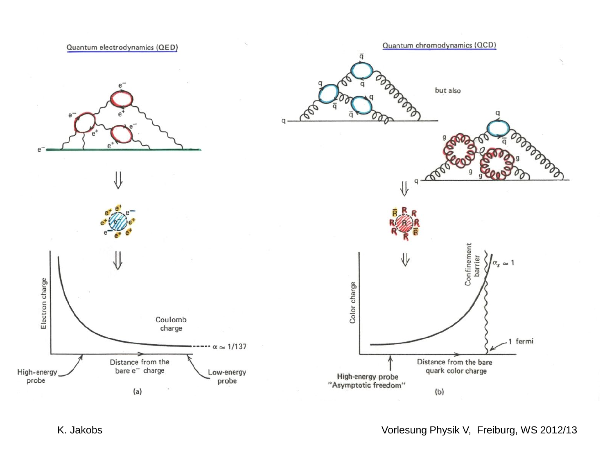

K. Jakobs **Vorlesung Physik V, Freiburg, WS 2012/13**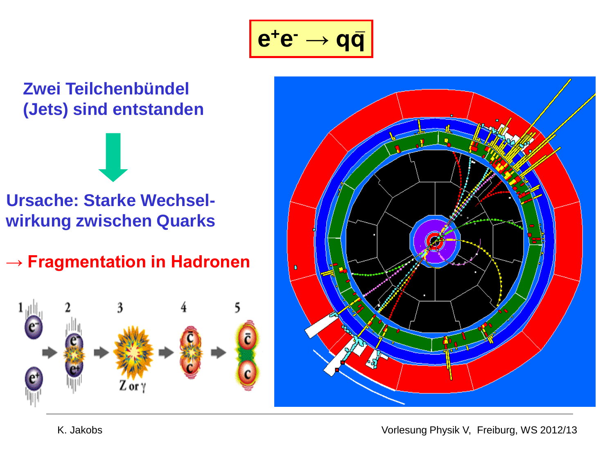$$
\boxed{\mathbf{e^+e^-} \to \mathbf{q}\mathbf{\bar{q}}}
$$

### **Zwei Teilchenbündel (Jets) sind entstanden**

**Ursache: Starke Wechselwirkung zwischen Quarks**

**→ Fragmentation in Hadronen** 





K. Jakobs **Vorlesung Physik V, Freiburg, WS 2012/13**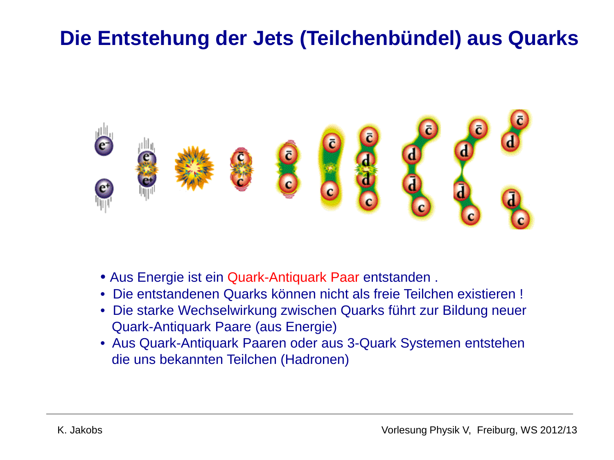## **Die Entstehung der Jets (Teilchenbündel) aus Quarks**



- Aus Energie ist ein Quark-Antiquark Paar entstanden .
- Die entstandenen Quarks können nicht als freie Teilchen existieren !
- Die starke Wechselwirkung zwischen Quarks führt zur Bildung neuer Quark-Antiquark Paare (aus Energie)
- Aus Quark-Antiquark Paaren oder aus 3-Quark Systemen entstehen die uns bekannten Teilchen (Hadronen)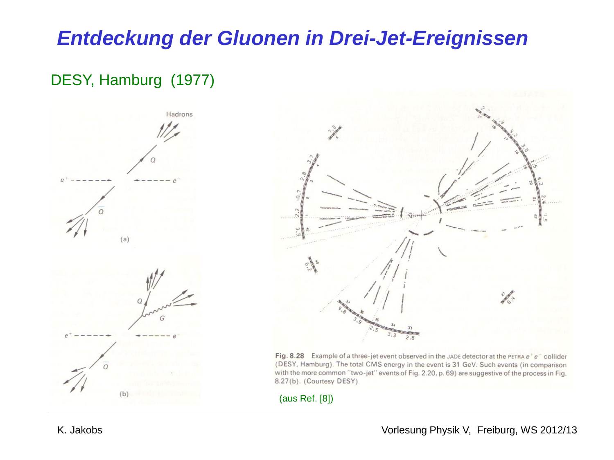### *Entdeckung der Gluonen in Drei-Jet-Ereignissen*

### DESY, Hamburg (1977)





Fig. 8.28 Example of a three-jet event observed in the JADE detector at the PETRA  $e^+e^-$  collider (DESY, Hamburg). The total CMS energy in the event is 31 GeV. Such events (in comparison with the more common "two-jet" events of Fig. 2.20, p. 69) are suggestive of the process in Fig. 8.27(b). (Courtesy DESY)

(aus Ref. [8])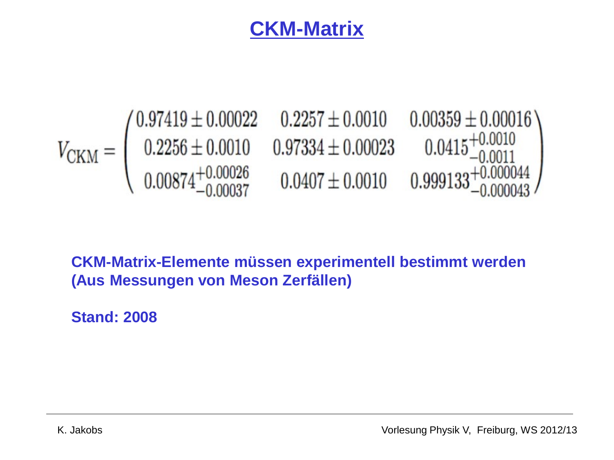### **CKM-Matrix**



**CKM-Matrix-Elemente müssen experimentell bestimmt werden (Aus Messungen von Meson Zerfällen)** 

**Stand: 2008**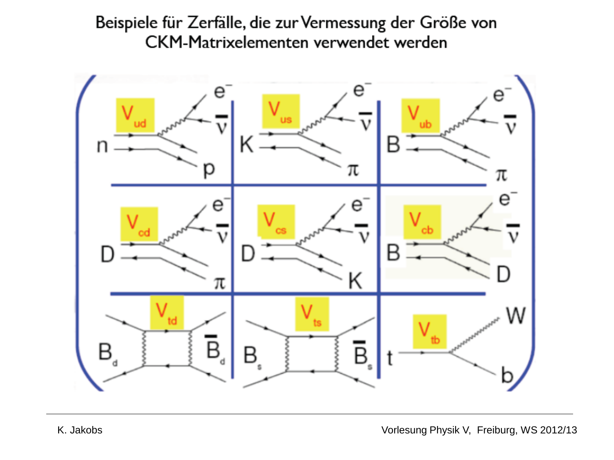# Beispiele für Zerfälle, die zur Vermessung der Größe von<br>CKM-Matrixelementen verwendet werden

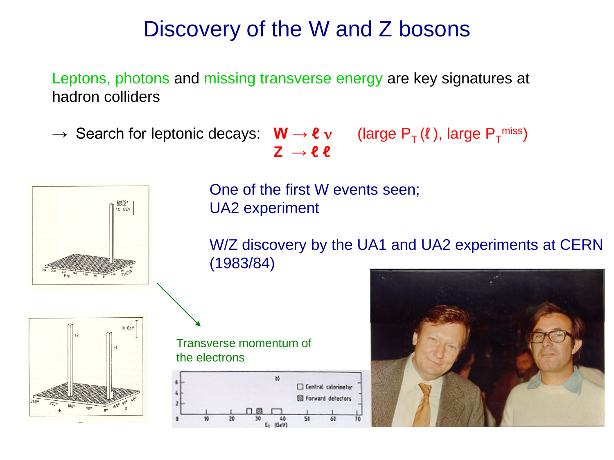# Discovery of the W and Z bosons

Leptons, photons and missing transverse energy are key signatures at hadron colliders

 $\rightarrow$  Search for leptonic decays: **W**  $\rightarrow$  **e**  $v$  (large P<sub>T</sub>(*t*), large P<sub>T</sub><sup>miss</sup>)  $Z \rightarrow \ell \ell$ 

10 GEV  $10 GeV$  One of the first W events seen; UA2 experiment

W/Z discovery by the UA1 and UA2 experiments at CERN (1983/84)



Transverse momentum of the electrons



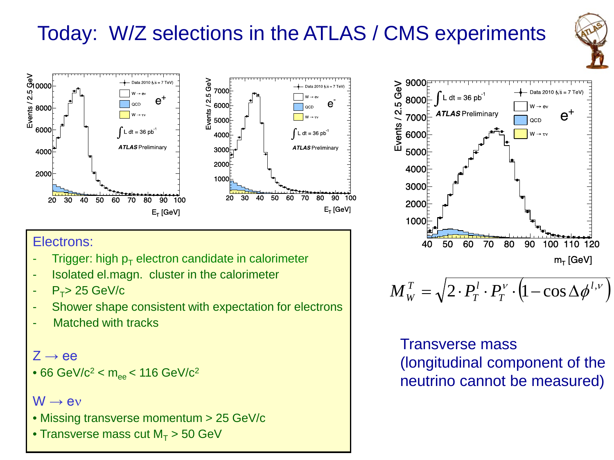# Today: W/Z selections in the ATLAS / CMS experiments





### Electrons:

- Trigger: high  $p_T$  electron candidate in calorimeter
- Isolated el.magn. cluster in the calorimeter
- $P_T > 25$  GeV/c
- Shower shape consistent with expectation for electrons
- Matched with tracks

 $Z \rightarrow ee$ 

• 66 GeV/ $c^2$  <  $m_{ee}$  < 116 GeV/ $c^2$ 

### $W \rightarrow eV$

- Missing transverse momentum > 25 GeV/c
- Transverse mass cut  $M_T > 50$  GeV



$$
M_W^T = \sqrt{2 \cdot P_T^l \cdot P_T^{\nu} \cdot (1 - \cos \Delta \phi^{l, \nu})}
$$

Transverse mass (longitudinal component of the neutrino cannot be measured)